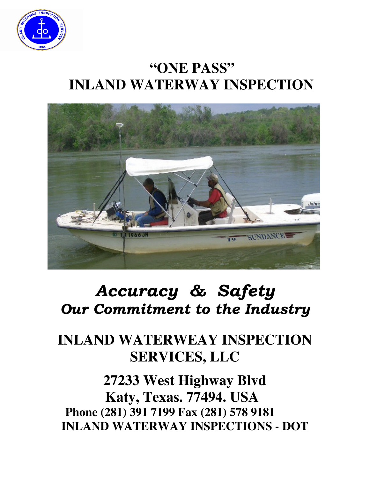

## **"ONE PASS" INLAND WATERWAY INSPECTION**



# Accuracy & Safety Our Commitment to the Industry

### **INLAND WATERWEAY INSPECTION SERVICES, LLC**

**27233 West Highway Blvd Katy, Texas. 77494. USA Phone (281) 391 7199 Fax (281) 578 9181 INLAND WATERWAY INSPECTIONS - DOT**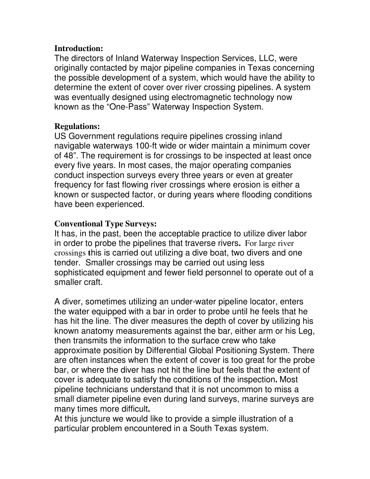#### **Introduction:**

The directors of Inland Waterway Inspection Services, LLC, were originally contacted by major pipeline companies in Texas concerning the possible development of a system, which would have the ability to determine the extent of cover over river crossing pipelines. A system was eventually designed using electromagnetic technology now known as the "One-Pass" Waterway Inspection System.

#### **Regulations:**

US Government regulations require pipelines crossing inland navigable waterways 100-ft wide or wider maintain a minimum cover of 48". The requirement is for crossings to be inspected at least once every five years. In most cases, the major operating companies conduct inspection surveys every three years or even at greater frequency for fast flowing river crossings where erosion is either a known or suspected factor, or during years where flooding conditions have been experienced.

#### **Conventional Type Surveys:**

It has, in the past, been the acceptable practice to utilize diver labor in order to probe the pipelines that traverse rivers**.** For large river crossings **t**his is carried out utilizing a dive boat, two divers and one tender. Smaller crossings may be carried out using less sophisticated equipment and fewer field personnel to operate out of a smaller craft.

A diver, sometimes utilizing an under-water pipeline locator, enters the water equipped with a bar in order to probe until he feels that he has hit the line. The diver measures the depth of cover by utilizing his known anatomy measurements against the bar, either arm or his Leg, then transmits the information to the surface crew who take approximate position by Differential Global Positioning System. There are often instances when the extent of cover is too great for the probe bar, or where the diver has not hit the line but feels that the extent of cover is adequate to satisfy the conditions of the inspection**.** Most pipeline technicians understand that it is not uncommon to miss a small diameter pipeline even during land surveys, marine surveys are many times more difficult**.** 

At this juncture we would like to provide a simple illustration of a particular problem encountered in a South Texas system.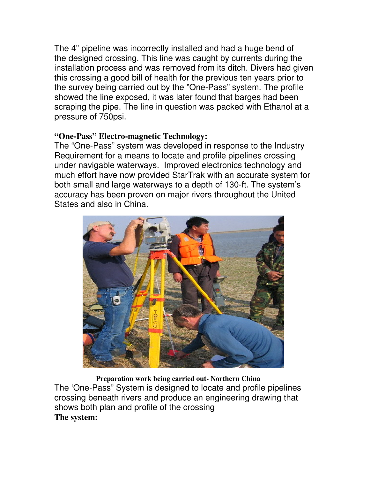The 4" pipeline was incorrectly installed and had a huge bend of the designed crossing. This line was caught by currents during the installation process and was removed from its ditch. Divers had given this crossing a good bill of health for the previous ten years prior to the survey being carried out by the "One-Pass" system. The profile showed the line exposed, it was later found that barges had been scraping the pipe. The line in question was packed with Ethanol at a pressure of 750psi.

#### **"One-Pass" Electro-magnetic Technology:**

The "One-Pass" system was developed in response to the Industry Requirement for a means to locate and profile pipelines crossing under navigable waterways. Improved electronics technology and much effort have now provided StarTrak with an accurate system for both small and large waterways to a depth of 130-ft. The system's accuracy has been proven on major rivers throughout the United States and also in China.



 **Preparation work being carried out- Northern China** The 'One-Pass" System is designed to locate and profile pipelines crossing beneath rivers and produce an engineering drawing that shows both plan and profile of the crossing **The system:**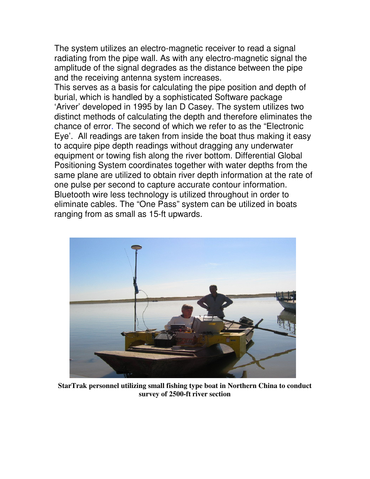The system utilizes an electro-magnetic receiver to read a signal radiating from the pipe wall. As with any electro-magnetic signal the amplitude of the signal degrades as the distance between the pipe and the receiving antenna system increases.

This serves as a basis for calculating the pipe position and depth of burial, which is handled by a sophisticated Software package 'Ariver' developed in 1995 by Ian D Casey. The system utilizes two distinct methods of calculating the depth and therefore eliminates the chance of error. The second of which we refer to as the "Electronic Eye'. All readings are taken from inside the boat thus making it easy to acquire pipe depth readings without dragging any underwater equipment or towing fish along the river bottom. Differential Global Positioning System coordinates together with water depths from the same plane are utilized to obtain river depth information at the rate of one pulse per second to capture accurate contour information. Bluetooth wire less technology is utilized throughout in order to eliminate cables. The "One Pass" system can be utilized in boats ranging from as small as 15-ft upwards.



**StarTrak personnel utilizing small fishing type boat in Northern China to conduct survey of 2500-ft river section**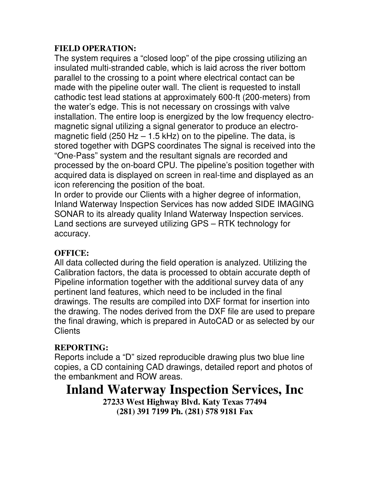#### **FIELD OPERATION:**

The system requires a "closed loop" of the pipe crossing utilizing an insulated multi-stranded cable, which is laid across the river bottom parallel to the crossing to a point where electrical contact can be made with the pipeline outer wall. The client is requested to install cathodic test lead stations at approximately 600-ft (200-meters) from the water's edge. This is not necessary on crossings with valve installation. The entire loop is energized by the low frequency electromagnetic signal utilizing a signal generator to produce an electromagnetic field (250 Hz  $-$  1.5 kHz) on to the pipeline. The data, is stored together with DGPS coordinates The signal is received into the "One-Pass" system and the resultant signals are recorded and processed by the on-board CPU. The pipeline's position together with acquired data is displayed on screen in real-time and displayed as an icon referencing the position of the boat.

In order to provide our Clients with a higher degree of information, Inland Waterway Inspection Services has now added SIDE IMAGING SONAR to its already quality Inland Waterway Inspection services. Land sections are surveyed utilizing GPS – RTK technology for accuracy.

#### **OFFICE:**

All data collected during the field operation is analyzed. Utilizing the Calibration factors, the data is processed to obtain accurate depth of Pipeline information together with the additional survey data of any pertinent land features, which need to be included in the final drawings. The results are compiled into DXF format for insertion into the drawing. The nodes derived from the DXF file are used to prepare the final drawing, which is prepared in AutoCAD or as selected by our **Clients** 

#### **REPORTING:**

Reports include a "D" sized reproducible drawing plus two blue line copies, a CD containing CAD drawings, detailed report and photos of the embankment and ROW areas.

### **Inland Waterway Inspection Services, Inc**

**27233 West Highway Blvd. Katy Texas 77494 (281) 391 7199 Ph. (281) 578 9181 Fax**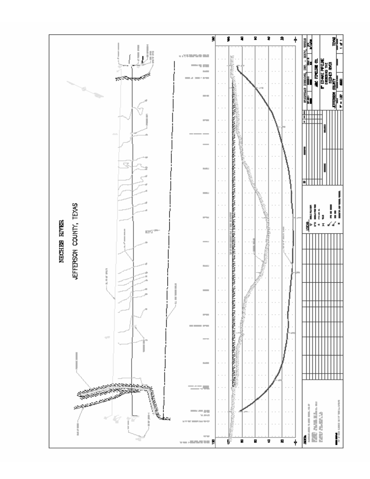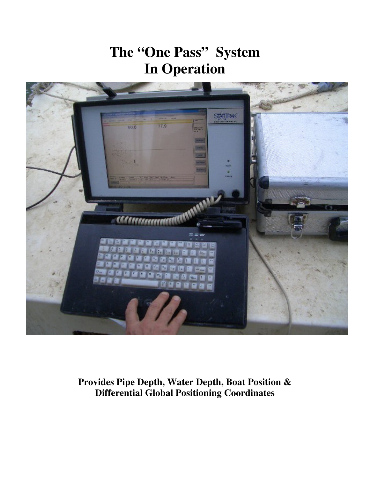## **The "One Pass" System In Operation**



**Provides Pipe Depth, Water Depth, Boat Position & Differential Global Positioning Coordinates**